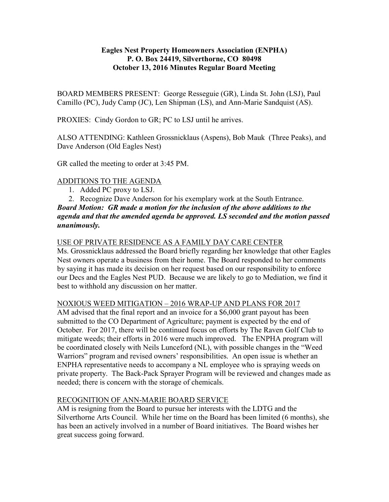## Eagles Nest Property Homeowners Association (ENPHA) P. O. Box 24419, Silverthorne, CO 80498 October 13, 2016 Minutes Regular Board Meeting

BOARD MEMBERS PRESENT: George Resseguie (GR), Linda St. John (LSJ), Paul Camillo (PC), Judy Camp (JC), Len Shipman (LS), and Ann-Marie Sandquist (AS).

PROXIES: Cindy Gordon to GR; PC to LSJ until he arrives.

ALSO ATTENDING: Kathleen Grossnicklaus (Aspens), Bob Mauk (Three Peaks), and Dave Anderson (Old Eagles Nest)

GR called the meeting to order at 3:45 PM.

# ADDITIONS TO THE AGENDA

- 1. Added PC proxy to LSJ.
- 2. Recognize Dave Anderson for his exemplary work at the South Entrance.

## Board Motion: GR made a motion for the inclusion of the above additions to the agenda and that the amended agenda be approved. LS seconded and the motion passed unanimously.

## USE OF PRIVATE RESIDENCE AS A FAMILY DAY CARE CENTER

Ms. Grossnicklaus addressed the Board briefly regarding her knowledge that other Eagles Nest owners operate a business from their home. The Board responded to her comments by saying it has made its decision on her request based on our responsibility to enforce our Decs and the Eagles Nest PUD. Because we are likely to go to Mediation, we find it best to withhold any discussion on her matter.

# NOXIOUS WEED MITIGATION – 2016 WRAP-UP AND PLANS FOR 2017

AM advised that the final report and an invoice for a \$6,000 grant payout has been submitted to the CO Department of Agriculture; payment is expected by the end of October. For 2017, there will be continued focus on efforts by The Raven Golf Club to mitigate weeds; their efforts in 2016 were much improved. The ENPHA program will be coordinated closely with Neils Lunceford (NL), with possible changes in the "Weed Warriors" program and revised owners' responsibilities. An open issue is whether an ENPHA representative needs to accompany a NL employee who is spraying weeds on private property. The Back-Pack Sprayer Program will be reviewed and changes made as needed; there is concern with the storage of chemicals.

## RECOGNITION OF ANN-MARIE BOARD SERVICE

AM is resigning from the Board to pursue her interests with the LDTG and the Silverthorne Arts Council. While her time on the Board has been limited (6 months), she has been an actively involved in a number of Board initiatives. The Board wishes her great success going forward.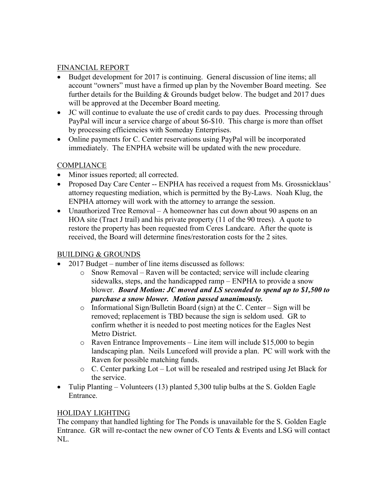## FINANCIAL REPORT

- Budget development for 2017 is continuing. General discussion of line items; all account "owners" must have a firmed up plan by the November Board meeting. See further details for the Building & Grounds budget below. The budget and 2017 dues will be approved at the December Board meeting.
- JC will continue to evaluate the use of credit cards to pay dues. Processing through PayPal will incur a service charge of about \$6-\$10. This charge is more than offset by processing efficiencies with Someday Enterprises.
- Online payments for C. Center reservations using PayPal will be incorporated immediately. The ENPHA website will be updated with the new procedure.

## **COMPLIANCE**

- Minor issues reported; all corrected.
- Proposed Day Care Center -- ENPHA has received a request from Ms. Grossnicklaus' attorney requesting mediation, which is permitted by the By-Laws. Noah Klug, the ENPHA attorney will work with the attorney to arrange the session.
- Unauthorized Tree Removal A homeowner has cut down about 90 aspens on an HOA site (Tract J trail) and his private property (11 of the 90 trees). A quote to restore the property has been requested from Ceres Landcare. After the quote is received, the Board will determine fines/restoration costs for the 2 sites.

## BUILDING & GROUNDS

- 2017 Budget number of line items discussed as follows:
	- o Snow Removal Raven will be contacted; service will include clearing sidewalks, steps, and the handicapped ramp – ENPHA to provide a snow blower. Board Motion: JC moved and LS seconded to spend up to \$1,500 to purchase a snow blower. Motion passed unanimously.
	- o Informational Sign/Bulletin Board (sign) at the C. Center Sign will be removed; replacement is TBD because the sign is seldom used. GR to confirm whether it is needed to post meeting notices for the Eagles Nest Metro District.
	- o Raven Entrance Improvements Line item will include \$15,000 to begin landscaping plan. Neils Lunceford will provide a plan. PC will work with the Raven for possible matching funds.
	- o C. Center parking Lot Lot will be resealed and restriped using Jet Black for the service.
- Tulip Planting Volunteers (13) planted 5,300 tulip bulbs at the S. Golden Eagle Entrance.

# HOLIDAY LIGHTING

The company that handled lighting for The Ponds is unavailable for the S. Golden Eagle Entrance. GR will re-contact the new owner of CO Tents & Events and LSG will contact NL.